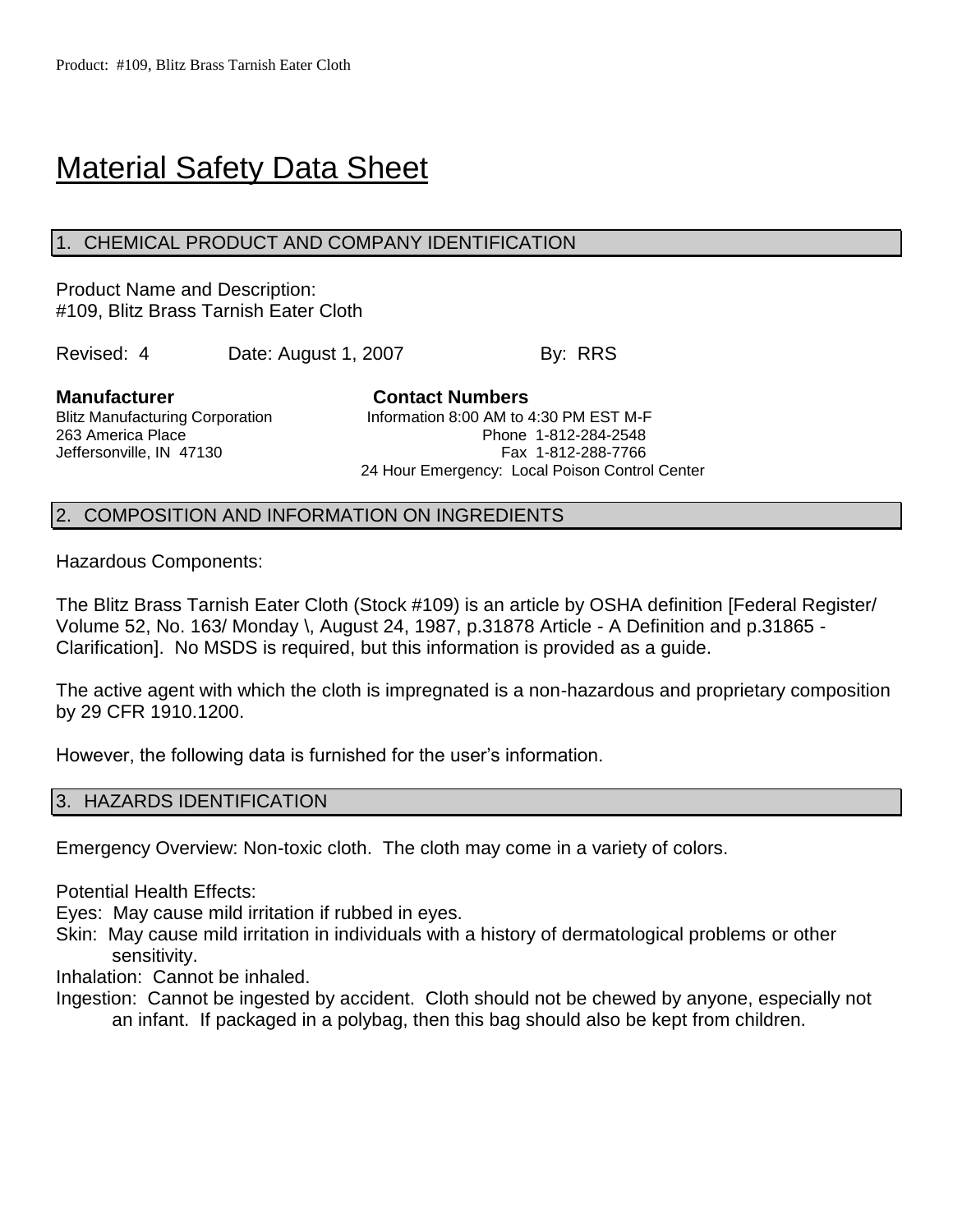# Material Safety Data Sheet

# 1. CHEMICAL PRODUCT AND COMPANY IDENTIFICATION

Product Name and Description: #109, Blitz Brass Tarnish Eater Cloth

Revised: 4 Date: August 1, 2007 By: RRS

**Manufacturer Contact Numbers** Blitz Manufacturing Corporation **Information 8:00 AM to 4:30 PM EST M-F** 263 America Place Phone 1-812-284-2548 Jeffersonville, IN 47130 Fax 1-812-288-7766 24 Hour Emergency: Local Poison Control Center

#### 2. COMPOSITION AND INFORMATION ON INGREDIENTS

Hazardous Components:

The Blitz Brass Tarnish Eater Cloth (Stock #109) is an article by OSHA definition [Federal Register/ Volume 52, No. 163/ Monday \, August 24, 1987, p.31878 Article - A Definition and p.31865 - Clarification]. No MSDS is required, but this information is provided as a guide.

The active agent with which the cloth is impregnated is a non-hazardous and proprietary composition by 29 CFR 1910.1200.

However, the following data is furnished for the user's information.

## 3. HAZARDS IDENTIFICATION

Emergency Overview: Non-toxic cloth. The cloth may come in a variety of colors.

Potential Health Effects:

Eyes: May cause mild irritation if rubbed in eyes.

Skin: May cause mild irritation in individuals with a history of dermatological problems or other sensitivity.

Inhalation: Cannot be inhaled.

Ingestion: Cannot be ingested by accident. Cloth should not be chewed by anyone, especially not an infant. If packaged in a polybag, then this bag should also be kept from children.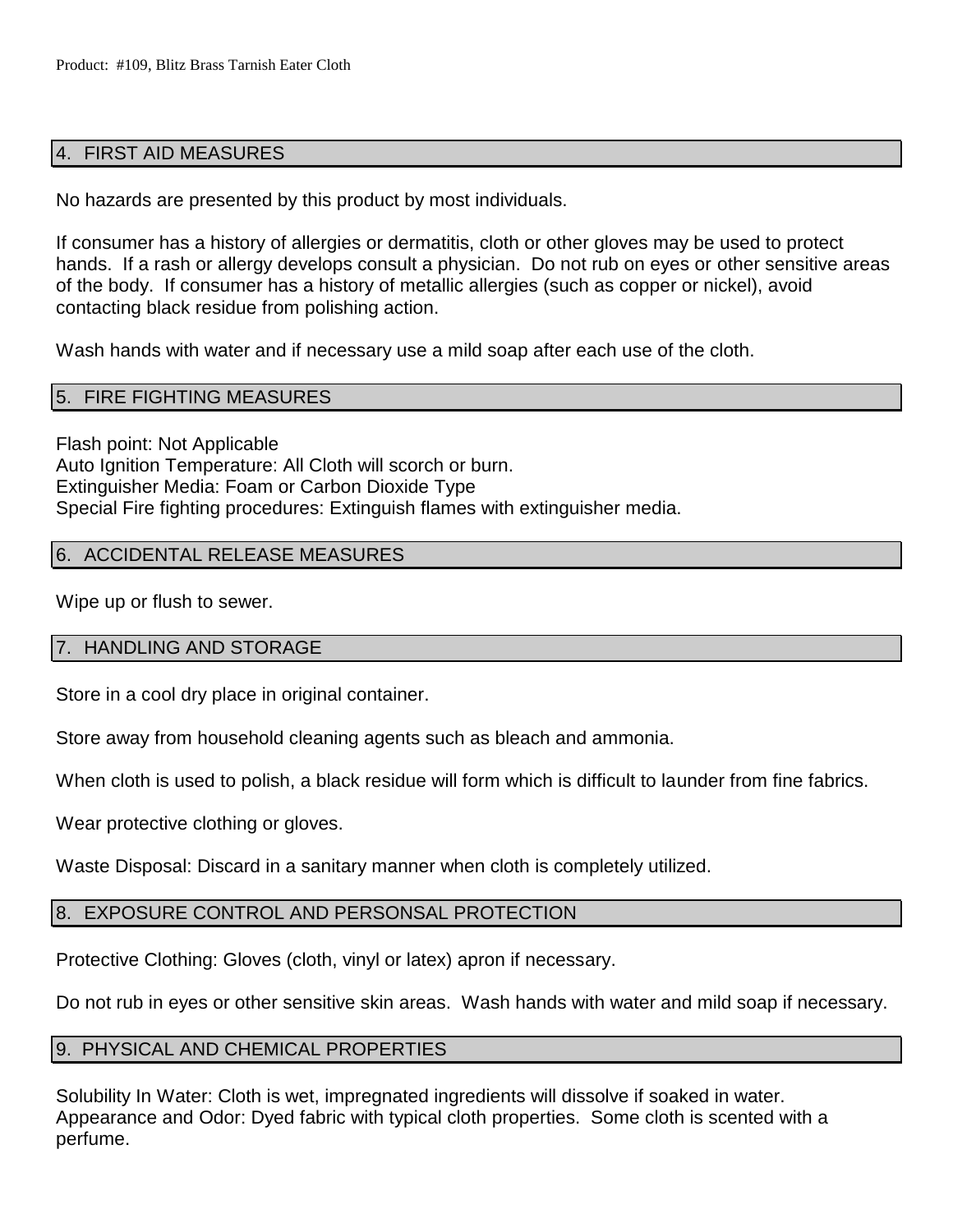## 4. FIRST AID MEASURES

No hazards are presented by this product by most individuals.

If consumer has a history of allergies or dermatitis, cloth or other gloves may be used to protect hands. If a rash or allergy develops consult a physician. Do not rub on eyes or other sensitive areas of the body. If consumer has a history of metallic allergies (such as copper or nickel), avoid contacting black residue from polishing action.

Wash hands with water and if necessary use a mild soap after each use of the cloth.

## 5. FIRE FIGHTING MEASURES

Flash point: Not Applicable Auto Ignition Temperature: All Cloth will scorch or burn. Extinguisher Media: Foam or Carbon Dioxide Type Special Fire fighting procedures: Extinguish flames with extinguisher media.

## 6. ACCIDENTAL RELEASE MEASURES

Wipe up or flush to sewer.

# 7. HANDLING AND STORAGE

Store in a cool dry place in original container.

Store away from household cleaning agents such as bleach and ammonia.

When cloth is used to polish, a black residue will form which is difficult to launder from fine fabrics.

Wear protective clothing or gloves.

Waste Disposal: Discard in a sanitary manner when cloth is completely utilized.

# 8. EXPOSURE CONTROL AND PERSONSAL PROTECTION

Protective Clothing: Gloves (cloth, vinyl or latex) apron if necessary.

Do not rub in eyes or other sensitive skin areas. Wash hands with water and mild soap if necessary.

# 9. PHYSICAL AND CHEMICAL PROPERTIES

Solubility In Water: Cloth is wet, impregnated ingredients will dissolve if soaked in water. Appearance and Odor: Dyed fabric with typical cloth properties. Some cloth is scented with a perfume.